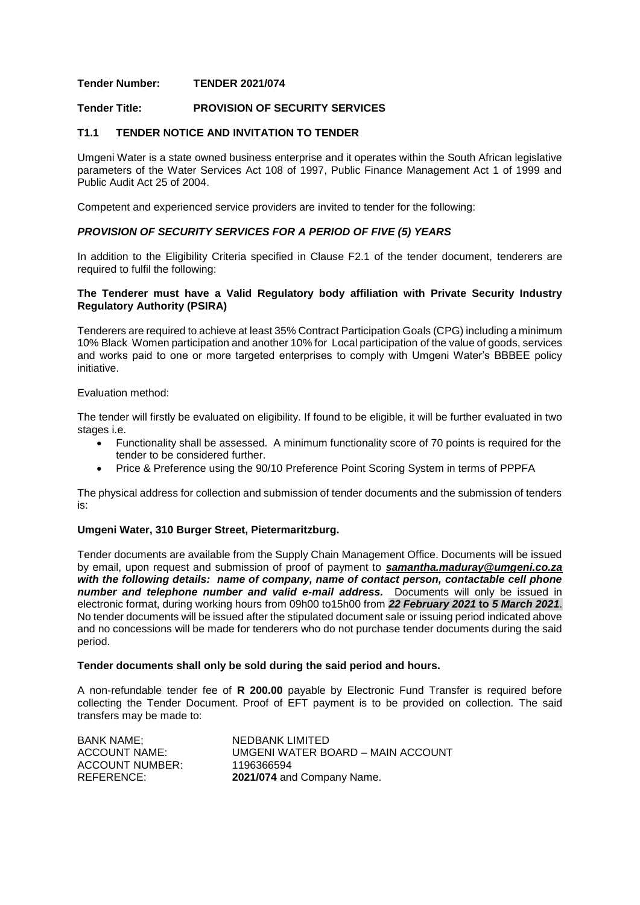## **Tender Number: TENDER 2021/074**

# **Tender Title: PROVISION OF SECURITY SERVICES**

### **T1.1 TENDER NOTICE AND INVITATION TO TENDER**

Umgeni Water is a state owned business enterprise and it operates within the South African legislative parameters of the Water Services Act 108 of 1997, Public Finance Management Act 1 of 1999 and Public Audit Act 25 of 2004.

Competent and experienced service providers are invited to tender for the following:

## *PROVISION OF SECURITY SERVICES FOR A PERIOD OF FIVE (5) YEARS*

In addition to the Eligibility Criteria specified in Clause F2.1 of the tender document, tenderers are required to fulfil the following:

## **The Tenderer must have a Valid Regulatory body affiliation with Private Security Industry Regulatory Authority (PSIRA)**

Tenderers are required to achieve at least 35% Contract Participation Goals (CPG) including a minimum 10% Black Women participation and another 10% for Local participation of the value of goods, services and works paid to one or more targeted enterprises to comply with Umgeni Water's BBBEE policy initiative.

#### Evaluation method:

The tender will firstly be evaluated on eligibility. If found to be eligible, it will be further evaluated in two stages i.e.

- Functionality shall be assessed. A minimum functionality score of 70 points is required for the tender to be considered further.
- Price & Preference using the 90/10 Preference Point Scoring System in terms of PPPFA

The physical address for collection and submission of tender documents and the submission of tenders is:

#### **Umgeni Water, 310 Burger Street, Pietermaritzburg.**

Tender documents are available from the Supply Chain Management Office. Documents will be issued by email, upon request and submission of proof of payment to *[samantha.maduray@umgeni.co.za](mailto:samantha.maduray@umgeni.co.za)  with the following details: name of company, name of contact person, contactable cell phone number and telephone number and valid e-mail address.* Documents will only be issued in electronic format, during working hours from 09h00 to15h00 from *22 February 2021* **to** *5 March 2021*. No tender documents will be issued after the stipulated document sale or issuing period indicated above and no concessions will be made for tenderers who do not purchase tender documents during the said period.

#### **Tender documents shall only be sold during the said period and hours.**

A non-refundable tender fee of **R 200.00** payable by Electronic Fund Transfer is required before collecting the Tender Document. Proof of EFT payment is to be provided on collection. The said transfers may be made to:

| <b>BANK NAME:</b> | NEDBANK LIMITED                   |
|-------------------|-----------------------------------|
| ACCOUNT NAME:     | UMGENI WATER BOARD – MAIN ACCOUNT |
| ACCOUNT NUMBER:   | 1196366594                        |
| REFERENCE:        | 2021/074 and Company Name.        |